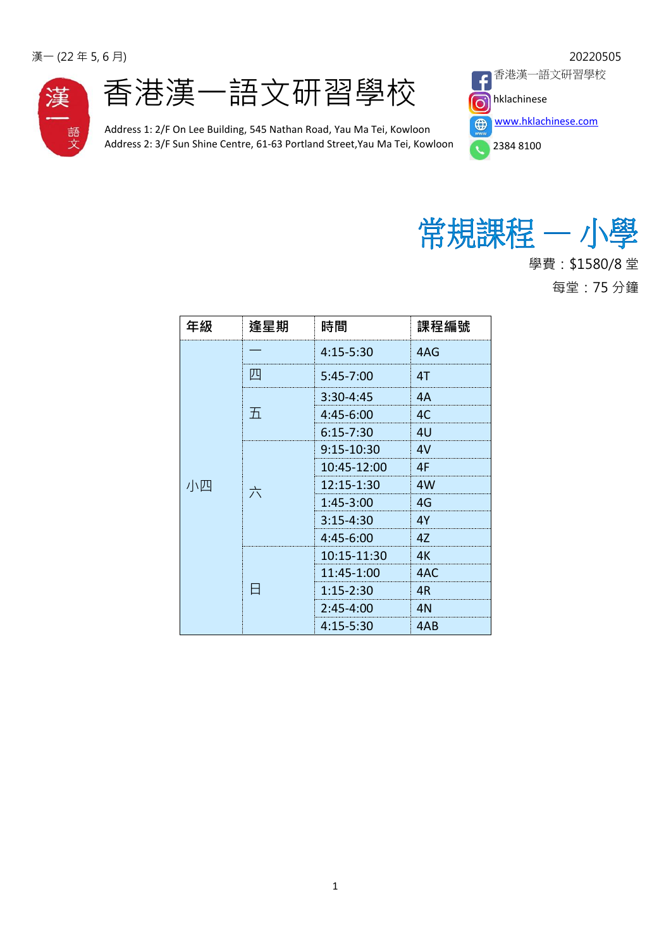



Address 1: 2/F On Lee Building, 545 Nathan Road, Yau Ma Tei, Kowloon Address 2: 3/F Sun Shine Centre, 61-63 Portland Street,Yau Ma Tei, Kowloon





學費:\$1580/8 堂 每堂:75 分鐘

| 年級 | 逢星期 | 時間            | 課程編號 |
|----|-----|---------------|------|
| 小四 |     | 4:15-5:30     | 4AG  |
|    | IJЧ | $5:45 - 7:00$ | 4T   |
|    | 五   | $3:30 - 4:45$ | 4A   |
|    |     | $4:45 - 6:00$ | 4C   |
|    |     | $6:15 - 7:30$ | 4U   |
|    | 六   | 9:15-10:30    | 4V   |
|    |     | 10:45-12:00   | 4F   |
|    |     | 12:15-1:30    | 4W   |
|    |     | $1:45 - 3:00$ | 4G   |
|    |     | $3:15 - 4:30$ | 4Y   |
|    |     | 4:45-6:00     | 4Z   |
|    |     | 10:15-11:30   | 4K   |
|    |     | 11:45-1:00    | 4AC  |
|    |     | $1:15 - 2:30$ | 4R   |
|    |     | $2:45 - 4:00$ | 4N   |
|    |     | $4:15 - 5:30$ | 4AB  |